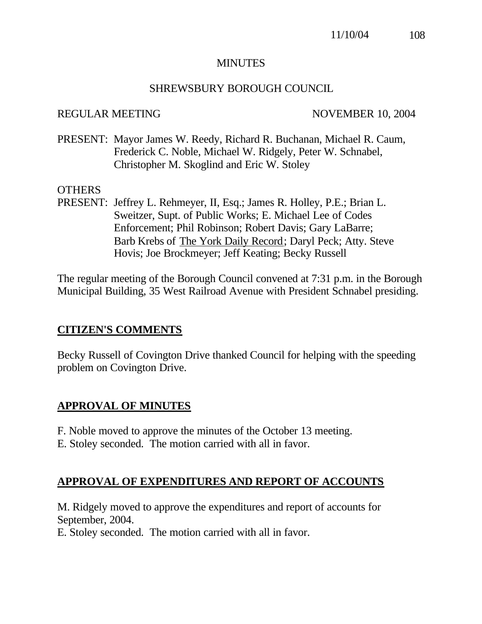## **MINUTES**

#### SHREWSBURY BOROUGH COUNCIL

#### REGULAR MEETING NOVEMBER 10, 2004

PRESENT: Mayor James W. Reedy, Richard R. Buchanan, Michael R. Caum, Frederick C. Noble, Michael W. Ridgely, Peter W. Schnabel, Christopher M. Skoglind and Eric W. Stoley

#### **OTHERS**

PRESENT: Jeffrey L. Rehmeyer, II, Esq.; James R. Holley, P.E.; Brian L. Sweitzer, Supt. of Public Works; E. Michael Lee of Codes Enforcement; Phil Robinson; Robert Davis; Gary LaBarre; Barb Krebs of The York Daily Record; Daryl Peck; Atty. Steve Hovis; Joe Brockmeyer; Jeff Keating; Becky Russell

The regular meeting of the Borough Council convened at 7:31 p.m. in the Borough Municipal Building, 35 West Railroad Avenue with President Schnabel presiding.

## **CITIZEN'S COMMENTS**

Becky Russell of Covington Drive thanked Council for helping with the speeding problem on Covington Drive.

## **APPROVAL OF MINUTES**

F. Noble moved to approve the minutes of the October 13 meeting. E. Stoley seconded. The motion carried with all in favor.

## **APPROVAL OF EXPENDITURES AND REPORT OF ACCOUNTS**

M. Ridgely moved to approve the expenditures and report of accounts for September, 2004.

E. Stoley seconded. The motion carried with all in favor.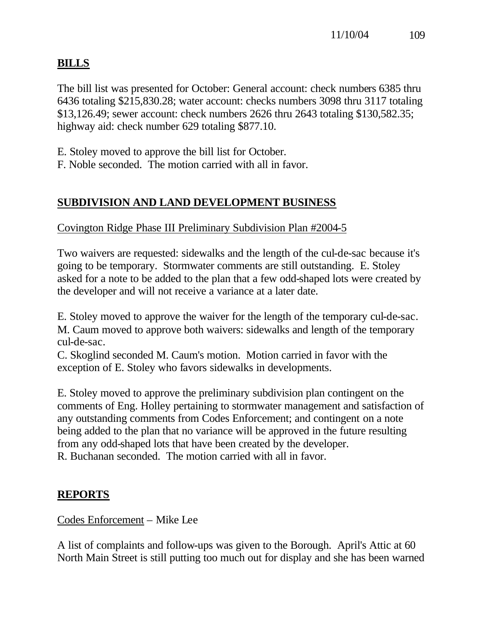# **BILLS**

The bill list was presented for October: General account: check numbers 6385 thru 6436 totaling \$215,830.28; water account: checks numbers 3098 thru 3117 totaling \$13,126.49; sewer account: check numbers 2626 thru 2643 totaling \$130,582.35; highway aid: check number 629 totaling \$877.10.

E. Stoley moved to approve the bill list for October.

F. Noble seconded. The motion carried with all in favor.

# **SUBDIVISION AND LAND DEVELOPMENT BUSINESS**

Covington Ridge Phase III Preliminary Subdivision Plan #2004-5

Two waivers are requested: sidewalks and the length of the cul-de-sac because it's going to be temporary. Stormwater comments are still outstanding. E. Stoley asked for a note to be added to the plan that a few odd-shaped lots were created by the developer and will not receive a variance at a later date.

E. Stoley moved to approve the waiver for the length of the temporary cul-de-sac. M. Caum moved to approve both waivers: sidewalks and length of the temporary cul-de-sac.

C. Skoglind seconded M. Caum's motion. Motion carried in favor with the exception of E. Stoley who favors sidewalks in developments.

E. Stoley moved to approve the preliminary subdivision plan contingent on the comments of Eng. Holley pertaining to stormwater management and satisfaction of any outstanding comments from Codes Enforcement; and contingent on a note being added to the plan that no variance will be approved in the future resulting from any odd-shaped lots that have been created by the developer. R. Buchanan seconded. The motion carried with all in favor.

## **REPORTS**

Codes Enforcement – Mike Lee

A list of complaints and follow-ups was given to the Borough. April's Attic at 60 North Main Street is still putting too much out for display and she has been warned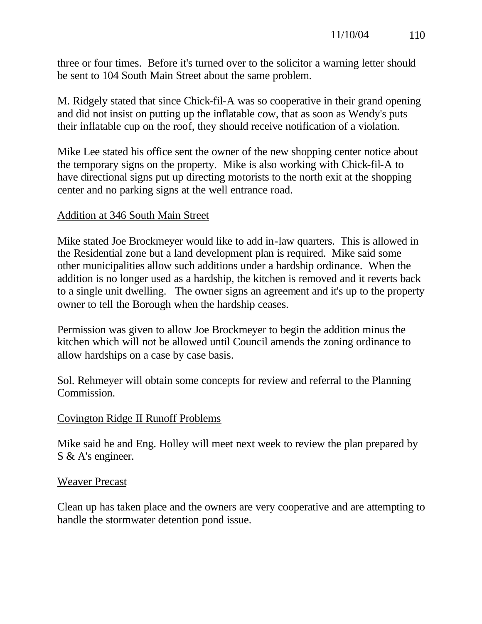three or four times. Before it's turned over to the solicitor a warning letter should be sent to 104 South Main Street about the same problem.

M. Ridgely stated that since Chick-fil-A was so cooperative in their grand opening and did not insist on putting up the inflatable cow, that as soon as Wendy's puts their inflatable cup on the roof, they should receive notification of a violation.

Mike Lee stated his office sent the owner of the new shopping center notice about the temporary signs on the property. Mike is also working with Chick-fil-A to have directional signs put up directing motorists to the north exit at the shopping center and no parking signs at the well entrance road.

## Addition at 346 South Main Street

Mike stated Joe Brockmeyer would like to add in-law quarters. This is allowed in the Residential zone but a land development plan is required. Mike said some other municipalities allow such additions under a hardship ordinance. When the addition is no longer used as a hardship, the kitchen is removed and it reverts back to a single unit dwelling. The owner signs an agreement and it's up to the property owner to tell the Borough when the hardship ceases.

Permission was given to allow Joe Brockmeyer to begin the addition minus the kitchen which will not be allowed until Council amends the zoning ordinance to allow hardships on a case by case basis.

Sol. Rehmeyer will obtain some concepts for review and referral to the Planning Commission.

## Covington Ridge II Runoff Problems

Mike said he and Eng. Holley will meet next week to review the plan prepared by S & A's engineer.

## Weaver Precast

Clean up has taken place and the owners are very cooperative and are attempting to handle the stormwater detention pond issue.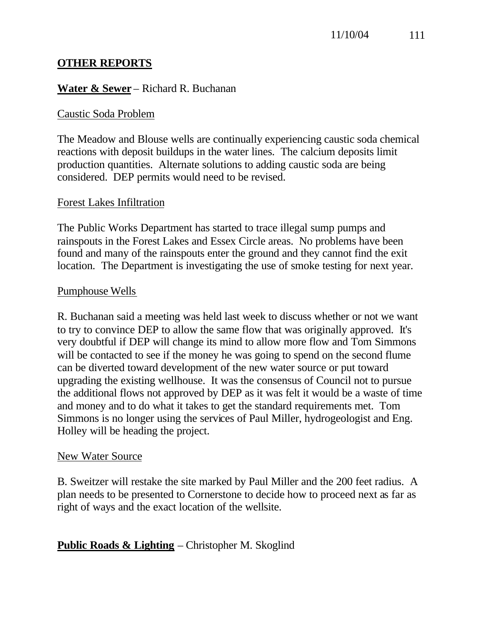## **OTHER REPORTS**

## **Water & Sewer** – Richard R. Buchanan

## Caustic Soda Problem

The Meadow and Blouse wells are continually experiencing caustic soda chemical reactions with deposit buildups in the water lines. The calcium deposits limit production quantities. Alternate solutions to adding caustic soda are being considered. DEP permits would need to be revised.

## Forest Lakes Infiltration

The Public Works Department has started to trace illegal sump pumps and rainspouts in the Forest Lakes and Essex Circle areas. No problems have been found and many of the rainspouts enter the ground and they cannot find the exit location. The Department is investigating the use of smoke testing for next year.

#### Pumphouse Wells

R. Buchanan said a meeting was held last week to discuss whether or not we want to try to convince DEP to allow the same flow that was originally approved. It's very doubtful if DEP will change its mind to allow more flow and Tom Simmons will be contacted to see if the money he was going to spend on the second flume can be diverted toward development of the new water source or put toward upgrading the existing wellhouse. It was the consensus of Council not to pursue the additional flows not approved by DEP as it was felt it would be a waste of time and money and to do what it takes to get the standard requirements met. Tom Simmons is no longer using the services of Paul Miller, hydrogeologist and Eng. Holley will be heading the project.

#### New Water Source

B. Sweitzer will restake the site marked by Paul Miller and the 200 feet radius. A plan needs to be presented to Cornerstone to decide how to proceed next as far as right of ways and the exact location of the wellsite.

## **Public Roads & Lighting** – Christopher M. Skoglind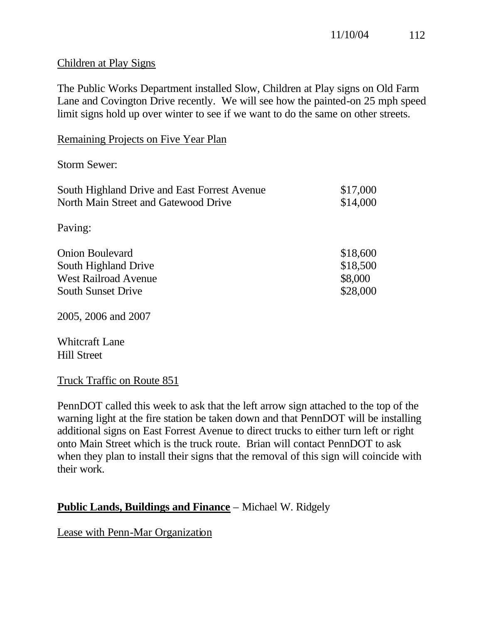#### Children at Play Signs

The Public Works Department installed Slow, Children at Play signs on Old Farm Lane and Covington Drive recently. We will see how the painted-on 25 mph speed limit signs hold up over winter to see if we want to do the same on other streets.

| Remaining Projects on Five Year Plan |  |
|--------------------------------------|--|
|--------------------------------------|--|

Storm Sewer:

| \$17,000 |
|----------|
| \$14,000 |
|          |
|          |
| \$18,600 |
| \$18,500 |
| \$8,000  |
| \$28,000 |
|          |

2005, 2006 and 2007

Whitcraft Lane Hill Street

## Truck Traffic on Route 851

PennDOT called this week to ask that the left arrow sign attached to the top of the warning light at the fire station be taken down and that PennDOT will be installing additional signs on East Forrest Avenue to direct trucks to either turn left or right onto Main Street which is the truck route. Brian will contact PennDOT to ask when they plan to install their signs that the removal of this sign will coincide with their work.

## **Public Lands, Buildings and Finance** – Michael W. Ridgely

Lease with Penn-Mar Organization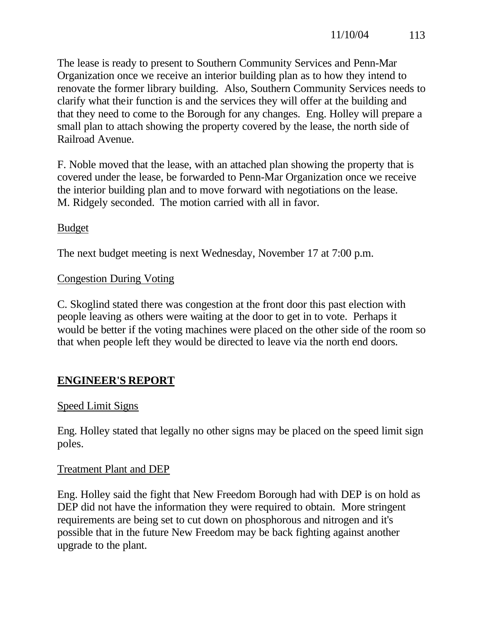The lease is ready to present to Southern Community Services and Penn-Mar Organization once we receive an interior building plan as to how they intend to renovate the former library building. Also, Southern Community Services needs to clarify what their function is and the services they will offer at the building and that they need to come to the Borough for any changes. Eng. Holley will prepare a small plan to attach showing the property covered by the lease, the north side of Railroad Avenue.

F. Noble moved that the lease, with an attached plan showing the property that is covered under the lease, be forwarded to Penn-Mar Organization once we receive the interior building plan and to move forward with negotiations on the lease. M. Ridgely seconded. The motion carried with all in favor.

## Budget

The next budget meeting is next Wednesday, November 17 at 7:00 p.m.

## Congestion During Voting

C. Skoglind stated there was congestion at the front door this past election with people leaving as others were waiting at the door to get in to vote. Perhaps it would be better if the voting machines were placed on the other side of the room so that when people left they would be directed to leave via the north end doors.

# **ENGINEER'S REPORT**

## Speed Limit Signs

Eng. Holley stated that legally no other signs may be placed on the speed limit sign poles.

## Treatment Plant and DEP

Eng. Holley said the fight that New Freedom Borough had with DEP is on hold as DEP did not have the information they were required to obtain. More stringent requirements are being set to cut down on phosphorous and nitrogen and it's possible that in the future New Freedom may be back fighting against another upgrade to the plant.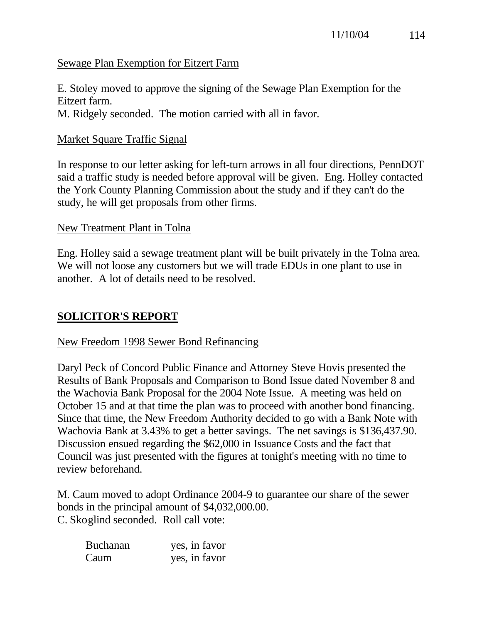#### Sewage Plan Exemption for Eitzert Farm

E. Stoley moved to approve the signing of the Sewage Plan Exemption for the Eitzert farm. M. Ridgely seconded. The motion carried with all in favor.

#### Market Square Traffic Signal

In response to our letter asking for left-turn arrows in all four directions, PennDOT said a traffic study is needed before approval will be given. Eng. Holley contacted the York County Planning Commission about the study and if they can't do the study, he will get proposals from other firms.

#### New Treatment Plant in Tolna

Eng. Holley said a sewage treatment plant will be built privately in the Tolna area. We will not loose any customers but we will trade EDUs in one plant to use in another. A lot of details need to be resolved.

#### **SOLICITOR'S REPORT**

#### New Freedom 1998 Sewer Bond Refinancing

Daryl Peck of Concord Public Finance and Attorney Steve Hovis presented the Results of Bank Proposals and Comparison to Bond Issue dated November 8 and the Wachovia Bank Proposal for the 2004 Note Issue. A meeting was held on October 15 and at that time the plan was to proceed with another bond financing. Since that time, the New Freedom Authority decided to go with a Bank Note with Wachovia Bank at 3.43% to get a better savings. The net savings is \$136,437.90. Discussion ensued regarding the \$62,000 in Issuance Costs and the fact that Council was just presented with the figures at tonight's meeting with no time to review beforehand.

M. Caum moved to adopt Ordinance 2004-9 to guarantee our share of the sewer bonds in the principal amount of \$4,032,000.00. C. Skoglind seconded. Roll call vote:

| <b>Buchanan</b> | yes, in favor |
|-----------------|---------------|
| Caum            | yes, in favor |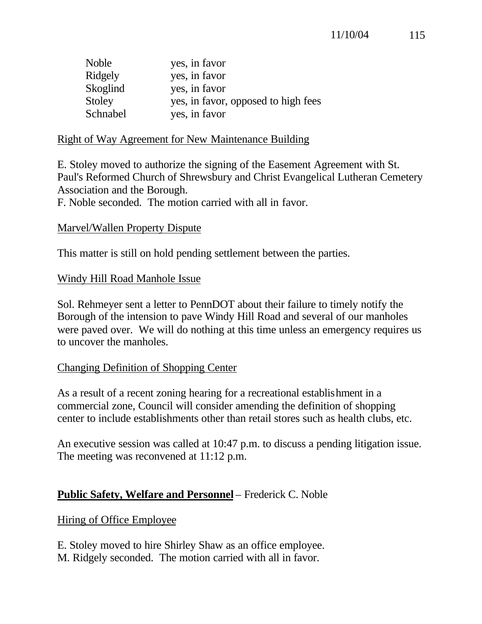| Noble    | yes, in favor                       |
|----------|-------------------------------------|
| Ridgely  | yes, in favor                       |
| Skoglind | yes, in favor                       |
| Stoley   | yes, in favor, opposed to high fees |
| Schnabel | yes, in favor                       |

#### Right of Way Agreement for New Maintenance Building

E. Stoley moved to authorize the signing of the Easement Agreement with St. Paul's Reformed Church of Shrewsbury and Christ Evangelical Lutheran Cemetery Association and the Borough.

F. Noble seconded. The motion carried with all in favor.

## Marvel/Wallen Property Dispute

This matter is still on hold pending settlement between the parties.

## Windy Hill Road Manhole Issue

Sol. Rehmeyer sent a letter to PennDOT about their failure to timely notify the Borough of the intension to pave Windy Hill Road and several of our manholes were paved over. We will do nothing at this time unless an emergency requires us to uncover the manholes.

## Changing Definition of Shopping Center

As a result of a recent zoning hearing for a recreational establishment in a commercial zone, Council will consider amending the definition of shopping center to include establishments other than retail stores such as health clubs, etc.

An executive session was called at 10:47 p.m. to discuss a pending litigation issue. The meeting was reconvened at 11:12 p.m.

## **Public Safety, Welfare and Personnel** – Frederick C. Noble

## Hiring of Office Employee

E. Stoley moved to hire Shirley Shaw as an office employee. M. Ridgely seconded. The motion carried with all in favor.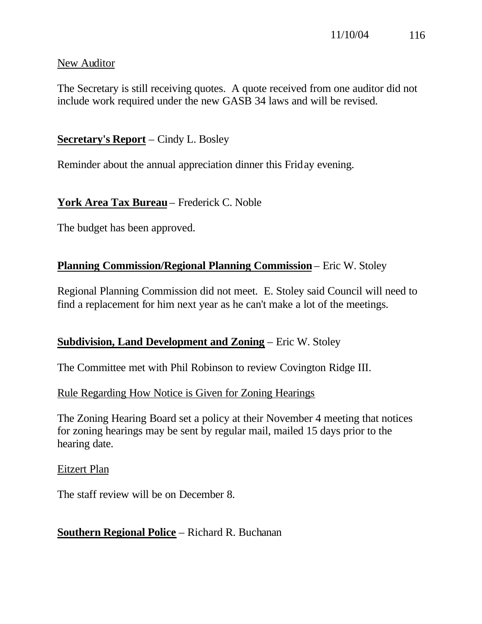#### New Auditor

The Secretary is still receiving quotes. A quote received from one auditor did not include work required under the new GASB 34 laws and will be revised.

## **Secretary's Report** – Cindy L. Bosley

Reminder about the annual appreciation dinner this Friday evening.

## **York Area Tax Bureau** – Frederick C. Noble

The budget has been approved.

## **Planning Commission/Regional Planning Commission** – Eric W. Stoley

Regional Planning Commission did not meet. E. Stoley said Council will need to find a replacement for him next year as he can't make a lot of the meetings.

## **Subdivision, Land Development and Zoning** – Eric W. Stoley

The Committee met with Phil Robinson to review Covington Ridge III.

#### Rule Regarding How Notice is Given for Zoning Hearings

The Zoning Hearing Board set a policy at their November 4 meeting that notices for zoning hearings may be sent by regular mail, mailed 15 days prior to the hearing date.

Eitzert Plan

The staff review will be on December 8.

## **Southern Regional Police** – Richard R. Buchanan